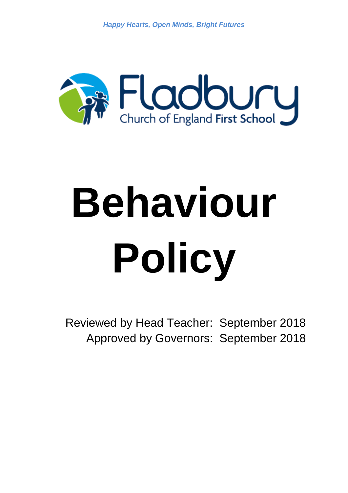*Happy Hearts, Open Minds, Bright Futures*



# **Behaviour Policy**

Reviewed by Head Teacher: September 2018 Approved by Governors: September 2018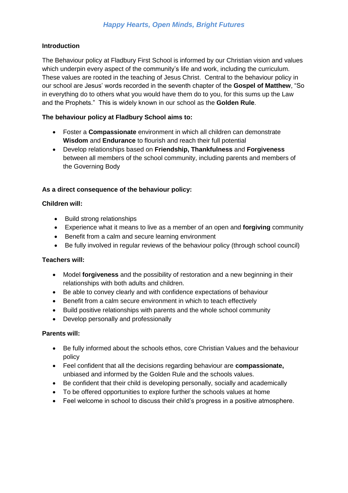# **Introduction**

The Behaviour policy at Fladbury First School is informed by our Christian vision and values which underpin every aspect of the community's life and work, including the curriculum. These values are rooted in the teaching of Jesus Christ. Central to the behaviour policy in our school are Jesus' words recorded in the seventh chapter of the **Gospel of Matthew**, "So in everything do to others what you would have them do to you, for this sums up the Law and the Prophets." This is widely known in our school as the **Golden Rule**.

# **The behaviour policy at Fladbury School aims to:**

- Foster a **Compassionate** environment in which all children can demonstrate **Wisdom** and **Endurance** to flourish and reach their full potential
- Develop relationships based on **Friendship, Thankfulness** and **Forgiveness** between all members of the school community, including parents and members of the Governing Body

# **As a direct consequence of the behaviour policy:**

#### **Children will:**

- Build strong relationships
- Experience what it means to live as a member of an open and **forgiving** community
- Benefit from a calm and secure learning environment
- Be fully involved in regular reviews of the behaviour policy (through school council)

#### **Teachers will:**

- Model **forgiveness** and the possibility of restoration and a new beginning in their relationships with both adults and children.
- Be able to convey clearly and with confidence expectations of behaviour
- Benefit from a calm secure environment in which to teach effectively
- Build positive relationships with parents and the whole school community
- Develop personally and professionally

#### **Parents will:**

- Be fully informed about the schools ethos, core Christian Values and the behaviour policy
- Feel confident that all the decisions regarding behaviour are **compassionate,**  unbiased and informed by the Golden Rule and the schools values.
- Be confident that their child is developing personally, socially and academically
- To be offered opportunities to explore further the schools values at home
- Feel welcome in school to discuss their child's progress in a positive atmosphere.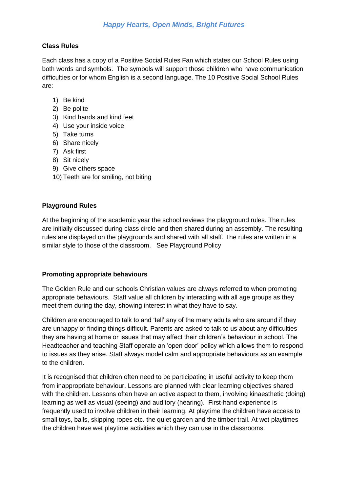# **Class Rules**

Each class has a copy of a Positive Social Rules Fan which states our School Rules using both words and symbols. The symbols will support those children who have communication difficulties or for whom English is a second language. The 10 Positive Social School Rules are:

- 1) Be kind
- 2) Be polite
- 3) Kind hands and kind feet
- 4) Use your inside voice
- 5) Take turns
- 6) Share nicely
- 7) Ask first
- 8) Sit nicely
- 9) Give others space
- 10) Teeth are for smiling, not biting

# **Playground Rules**

At the beginning of the academic year the school reviews the playground rules. The rules are initially discussed during class circle and then shared during an assembly. The resulting rules are displayed on the playgrounds and shared with all staff. The rules are written in a similar style to those of the classroom. See Playground Policy

#### **Promoting appropriate behaviours**

The Golden Rule and our schools Christian values are always referred to when promoting appropriate behaviours. Staff value all children by interacting with all age groups as they meet them during the day, showing interest in what they have to say.

Children are encouraged to talk to and 'tell' any of the many adults who are around if they are unhappy or finding things difficult. Parents are asked to talk to us about any difficulties they are having at home or issues that may affect their children's behaviour in school. The Headteacher and teaching Staff operate an 'open door' policy which allows them to respond to issues as they arise. Staff always model calm and appropriate behaviours as an example to the children.

It is recognised that children often need to be participating in useful activity to keep them from inappropriate behaviour. Lessons are planned with clear learning objectives shared with the children. Lessons often have an active aspect to them, involving kinaesthetic (doing) learning as well as visual (seeing) and auditory (hearing). First-hand experience is frequently used to involve children in their learning. At playtime the children have access to small toys, balls, skipping ropes etc. the quiet garden and the timber trail. At wet playtimes the children have wet playtime activities which they can use in the classrooms.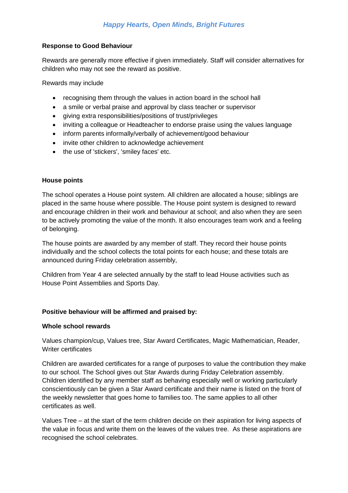# **Response to Good Behaviour**

Rewards are generally more effective if given immediately. Staff will consider alternatives for children who may not see the reward as positive.

Rewards may include

- recognising them through the values in action board in the school hall
- a smile or verbal praise and approval by class teacher or supervisor
- giving extra responsibilities/positions of trust/privileges
- inviting a colleague or Headteacher to endorse praise using the values language
- inform parents informally/verbally of achievement/good behaviour
- invite other children to acknowledge achievement
- the use of 'stickers', 'smiley faces' etc.

# **House points**

The school operates a House point system. All children are allocated a house; siblings are placed in the same house where possible. The House point system is designed to reward and encourage children in their work and behaviour at school; and also when they are seen to be actively promoting the value of the month. It also encourages team work and a feeling of belonging.

The house points are awarded by any member of staff. They record their house points individually and the school collects the total points for each house; and these totals are announced during Friday celebration assembly,

Children from Year 4 are selected annually by the staff to lead House activities such as House Point Assemblies and Sports Day.

# **Positive behaviour will be affirmed and praised by:**

#### **Whole school rewards**

Values champion/cup, Values tree, Star Award Certificates, Magic Mathematician, Reader, Writer certificates

Children are awarded certificates for a range of purposes to value the contribution they make to our school. The School gives out Star Awards during Friday Celebration assembly. Children identified by any member staff as behaving especially well or working particularly conscientiously can be given a Star Award certificate and their name is listed on the front of the weekly newsletter that goes home to families too. The same applies to all other certificates as well.

Values Tree – at the start of the term children decide on their aspiration for living aspects of the value in focus and write them on the leaves of the values tree. As these aspirations are recognised the school celebrates.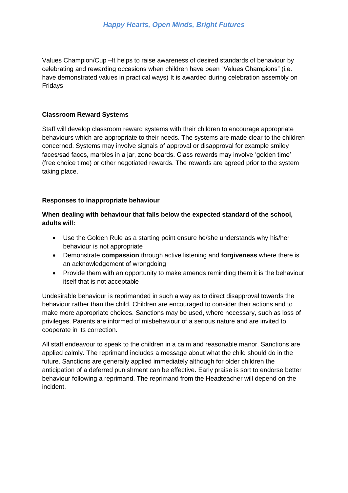Values Champion/Cup –It helps to raise awareness of desired standards of behaviour by celebrating and rewarding occasions when children have been "Values Champions" (i.e. have demonstrated values in practical ways) It is awarded during celebration assembly on Fridays

# **Classroom Reward Systems**

Staff will develop classroom reward systems with their children to encourage appropriate behaviours which are appropriate to their needs. The systems are made clear to the children concerned. Systems may involve signals of approval or disapproval for example smiley faces/sad faces, marbles in a jar, zone boards. Class rewards may involve 'golden time' (free choice time) or other negotiated rewards. The rewards are agreed prior to the system taking place.

# **Responses to inappropriate behaviour**

# **When dealing with behaviour that falls below the expected standard of the school, adults will:**

- Use the Golden Rule as a starting point ensure he/she understands why his/her behaviour is not appropriate
- Demonstrate **compassion** through active listening and **forgiveness** where there is an acknowledgement of wrongdoing
- Provide them with an opportunity to make amends reminding them it is the behaviour itself that is not acceptable

Undesirable behaviour is reprimanded in such a way as to direct disapproval towards the behaviour rather than the child. Children are encouraged to consider their actions and to make more appropriate choices. Sanctions may be used, where necessary, such as loss of privileges. Parents are informed of misbehaviour of a serious nature and are invited to cooperate in its correction.

All staff endeavour to speak to the children in a calm and reasonable manor. Sanctions are applied calmly. The reprimand includes a message about what the child should do in the future. Sanctions are generally applied immediately although for older children the anticipation of a deferred punishment can be effective. Early praise is sort to endorse better behaviour following a reprimand. The reprimand from the Headteacher will depend on the incident.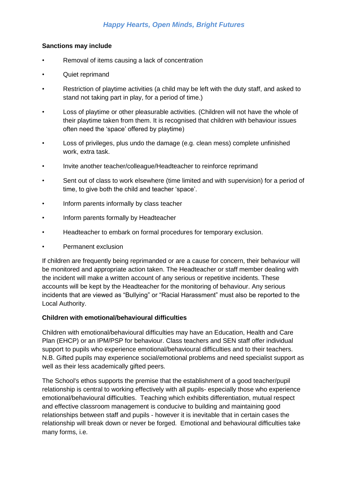# *Happy Hearts, Open Minds, Bright Futures*

#### **Sanctions may include**

- Removal of items causing a lack of concentration
- Quiet reprimand
- Restriction of playtime activities (a child may be left with the duty staff, and asked to stand not taking part in play, for a period of time.)
- Loss of playtime or other pleasurable activities. (Children will not have the whole of their playtime taken from them. It is recognised that children with behaviour issues often need the 'space' offered by playtime)
- Loss of privileges, plus undo the damage (e.g. clean mess) complete unfinished work, extra task.
- Invite another teacher/colleague/Headteacher to reinforce reprimand
- Sent out of class to work elsewhere (time limited and with supervision) for a period of time, to give both the child and teacher 'space'.
- Inform parents informally by class teacher
- Inform parents formally by Headteacher
- Headteacher to embark on formal procedures for temporary exclusion.
- Permanent exclusion

If children are frequently being reprimanded or are a cause for concern, their behaviour will be monitored and appropriate action taken. The Headteacher or staff member dealing with the incident will make a written account of any serious or repetitive incidents. These accounts will be kept by the Headteacher for the monitoring of behaviour. Any serious incidents that are viewed as "Bullying" or "Racial Harassment" must also be reported to the Local Authority.

#### **Children with emotional/behavioural difficulties**

Children with emotional/behavioural difficulties may have an Education, Health and Care Plan (EHCP) or an IPM/PSP for behaviour. Class teachers and SEN staff offer individual support to pupils who experience emotional/behavioural difficulties and to their teachers. N.B. Gifted pupils may experience social/emotional problems and need specialist support as well as their less academically gifted peers.

The School's ethos supports the premise that the establishment of a good teacher/pupil relationship is central to working effectively with all pupils- especially those who experience emotional/behavioural difficulties. Teaching which exhibits differentiation, mutual respect and effective classroom management is conducive to building and maintaining good relationships between staff and pupils - however it is inevitable that in certain cases the relationship will break down or never be forged. Emotional and behavioural difficulties take many forms, i.e.